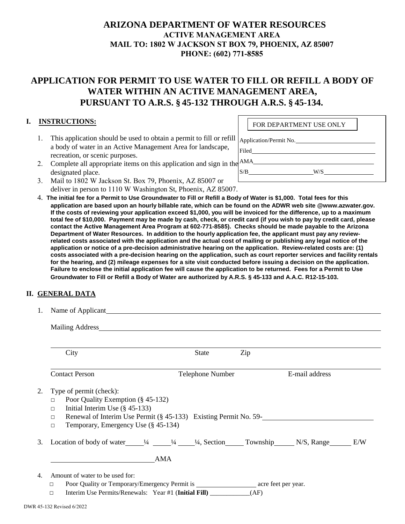## **ARIZONA DEPARTMENT OF WATER RESOURCES ACTIVE MANAGEMENT AREA MAIL TO: 1802 W JACKSON ST BOX 79, PHOENIX, AZ 85007 PHONE: (602) 771-8585**

# **APPLICATION FOR PERMIT TO USE WATER TO FILL OR REFILL A BODY OF WATER WITHIN AN ACTIVE MANAGEMENT AREA, PURSUANT TO A.R.S. § 45-132 THROUGH A.R.S. § 45-134.**

### **I. INSTRUCTIONS:**

1. This application should be used to obtain a permit to fill or refill a body of water in an Active Management Area for landscape, recreation, or scenic purposes.

|       | FOR DEPARTMENT USE ONLY |  |  |  |  |
|-------|-------------------------|--|--|--|--|
|       | Application/Permit No.  |  |  |  |  |
| Filed |                         |  |  |  |  |
| AMA   |                         |  |  |  |  |
| S/B   | W/S                     |  |  |  |  |
|       |                         |  |  |  |  |

- 2. Complete all appropriate items on this application and sign in the designated place.
- 3. Mail to 1802 W Jackson St. Box 79, Phoenix, AZ 85007 or deliver in person to 1110 W Washington St, Phoenix, AZ 85007.
- 4. **The initial fee for a Permit to Use Groundwater to Fill or Refill a Body of Water is \$1,000. Total fees for this application are based upon an hourly billable rate, which can be found on the ADWR web site @www.azwater.gov. If the costs of reviewing your application exceed \$1,000, you will be invoiced for the difference, up to a maximum total fee of \$10,000. Payment may be made by cash, check, or credit card (if you wish to pay by credit card, please contact the Active Management Area Program at 602-771-8585). Checks should be made payable to the Arizona Department of Water Resources. In addition to the hourly application fee, the applicant must pay any reviewrelated costs associated with the application and the actual cost of mailing or publishing any legal notice of the application or notice of a pre-decision administrative hearing on the application. Review-related costs are: (1) costs associated with a pre-decision hearing on the application, such as court reporter services and facility rentals for the hearing, and (2) mileage expenses for a site visit conducted before issuing a decision on the application. Failure to enclose the initial application fee will cause the application to be returned. Fees for a Permit to Use Groundwater to Fill or Refill a Body of Water are authorized by A.R.S. § 45-133 and A.A.C. R12-15-103.**

#### **II. GENERAL DATA**

1. Name of Applicant

Mailing Address

|                                                                                                                                       | City                                                                                                                                                                                                                                                       | State            | Zip |                |  |  |  |  |
|---------------------------------------------------------------------------------------------------------------------------------------|------------------------------------------------------------------------------------------------------------------------------------------------------------------------------------------------------------------------------------------------------------|------------------|-----|----------------|--|--|--|--|
|                                                                                                                                       |                                                                                                                                                                                                                                                            |                  |     |                |  |  |  |  |
|                                                                                                                                       | <b>Contact Person</b>                                                                                                                                                                                                                                      | Telephone Number |     | E-mail address |  |  |  |  |
| 2.                                                                                                                                    | Type of permit (check):<br>Poor Quality Exemption (§ 45-132)<br>$\Box$<br>Initial Interim Use $(\S$ 45-133)<br>П<br>Renewal of Interim Use Permit $(\frac{8}{9}45-133)$ Existing Permit No. 59-<br>$\Box$<br>Temporary, Emergency Use (§ 45-134)<br>$\Box$ |                  |     |                |  |  |  |  |
|                                                                                                                                       | 3. Location of body of water $\frac{1}{4}$ $\frac{1}{4}$ $\frac{1}{4}$ Section Township N/S, Range E/W                                                                                                                                                     |                  |     |                |  |  |  |  |
|                                                                                                                                       | AMA                                                                                                                                                                                                                                                        |                  |     |                |  |  |  |  |
| Amount of water to be used for:<br>4.<br>$\Box$<br>Interim Use Permits/Renewals: Year #1 (Initial Fill) _______________(AF)<br>$\Box$ |                                                                                                                                                                                                                                                            |                  |     |                |  |  |  |  |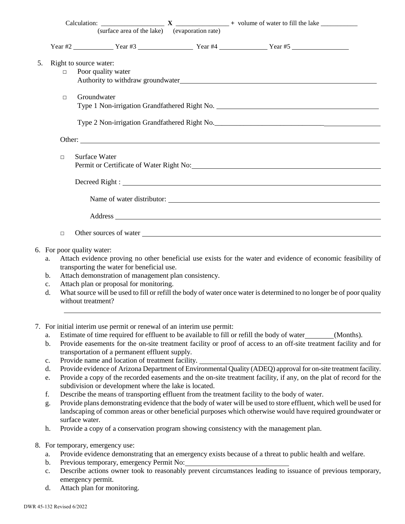|    |                | (surface area of the lake) (evaporation rate)        |                                                                                                                                                                                                                                |
|----|----------------|------------------------------------------------------|--------------------------------------------------------------------------------------------------------------------------------------------------------------------------------------------------------------------------------|
|    |                |                                                      |                                                                                                                                                                                                                                |
| 5. |                | Right to source water:                               |                                                                                                                                                                                                                                |
|    | $\Box$         | Poor quality water                                   |                                                                                                                                                                                                                                |
|    | $\Box$         | Groundwater                                          |                                                                                                                                                                                                                                |
|    |                |                                                      |                                                                                                                                                                                                                                |
|    |                |                                                      |                                                                                                                                                                                                                                |
|    | $\Box$         | Surface Water                                        |                                                                                                                                                                                                                                |
|    |                |                                                      |                                                                                                                                                                                                                                |
|    |                |                                                      | Name of water distributor:                                                                                                                                                                                                     |
|    |                |                                                      | Address and the contract of the contract of the contract of the contract of the contract of the contract of the contract of the contract of the contract of the contract of the contract of the contract of the contract of th |
|    | $\Box$         |                                                      | Other sources of water 100 million and the same state of water 100 million and the same state of water 100 million and the same state of the state of the state of the state of the state of the state of the state of the sta |
|    |                | 6. For poor quality water:                           |                                                                                                                                                                                                                                |
|    | a.             | transporting the water for beneficial use.           | Attach evidence proving no other beneficial use exists for the water and evidence of economic feasibility of                                                                                                                   |
|    | $\mathbf{b}$ . | Attach demonstration of management plan consistency. |                                                                                                                                                                                                                                |
|    | $\mathbf{c}$ . | Attach plan or proposal for monitoring.              |                                                                                                                                                                                                                                |
|    |                |                                                      | What accuracy will be word to CH among the back of water and water is determined to no languable of names wellty                                                                                                               |

- d. What source will be used to fill or refill the body of water once water is determined to no longer be of poor quality without treatment?
- 7. For initial interim use permit or renewal of an interim use permit:
	- a. Estimate of time required for effluent to be available to fill or refill the body of water (Months).
	- b. Provide easements for the on-site treatment facility or proof of access to an off-site treatment facility and for transportation of a permanent effluent supply.
	- c. Provide name and location of treatment facility.
	- d. Provide evidence of Arizona Department of Environmental Quality (ADEQ) approval for on-site treatment facility.
	- e. Provide a copy of the recorded easements and the on-site treatment facility, if any, on the plat of record for the subdivision or development where the lake is located.
	- f. Describe the means of transporting effluent from the treatment facility to the body of water.
	- g. Provide plans demonstrating evidence that the body of water will be used to store effluent, which well be used for landscaping of common areas or other beneficial purposes which otherwise would have required groundwater or surface water.
	- h. Provide a copy of a conservation program showing consistency with the management plan.
- 8. For temporary, emergency use:
	- a. Provide evidence demonstrating that an emergency exists because of a threat to public health and welfare.
	- b. Previous temporary, emergency Permit No:
	- c. Describe actions owner took to reasonably prevent circumstances leading to issuance of previous temporary, emergency permit.
	- d. Attach plan for monitoring.